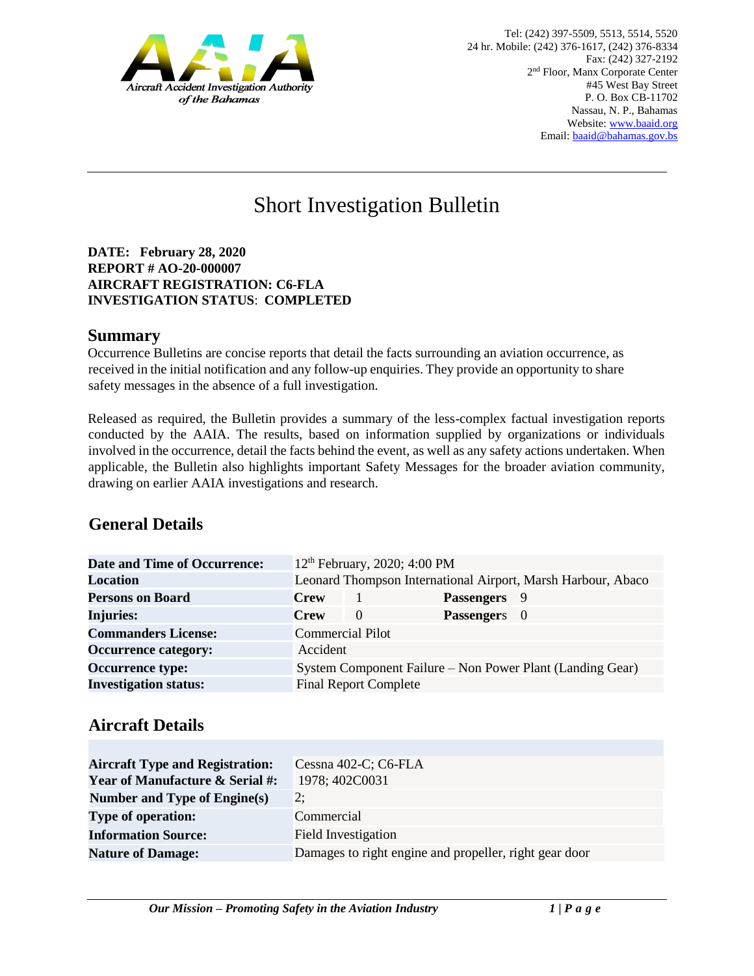

# Short Investigation Bulletin

**DATE: February 28, 2020 REPORT # AO-20-000007 AIRCRAFT REGISTRATION: C6-FLA INVESTIGATION STATUS**: **COMPLETED**

#### **Summary**

Occurrence Bulletins are concise reports that detail the facts surrounding an aviation occurrence, as received in the initial notification and any follow-up enquiries. They provide an opportunity to share safety messages in the absence of a full investigation*.* 

Released as required, the Bulletin provides a summary of the less-complex factual investigation reports conducted by the AAIA. The results, based on information supplied by organizations or individuals involved in the occurrence, detail the facts behind the event, as well as any safety actions undertaken. When applicable, the Bulletin also highlights important Safety Messages for the broader aviation community, drawing on earlier AAIA investigations and research.

# **General Details**

| <b>Date and Time of Occurrence:</b> |                                                              |                              | 12 <sup>th</sup> February, 2020; 4:00 PM |  |
|-------------------------------------|--------------------------------------------------------------|------------------------------|------------------------------------------|--|
| <b>Location</b>                     | Leonard Thompson International Airport, Marsh Harbour, Abaco |                              |                                          |  |
| <b>Persons on Board</b>             | <b>Crew</b>                                                  |                              | Passengers 9                             |  |
| <b>Injuries:</b>                    | <b>Crew</b>                                                  | $\left($                     | Passengers 0                             |  |
| <b>Commanders License:</b>          | <b>Commercial Pilot</b>                                      |                              |                                          |  |
| <b>Occurrence category:</b>         | Accident                                                     |                              |                                          |  |
| <b>Occurrence type:</b>             | System Component Failure – Non Power Plant (Landing Gear)    |                              |                                          |  |
| <b>Investigation status:</b>        |                                                              | <b>Final Report Complete</b> |                                          |  |

#### **Aircraft Details**

| <b>Aircraft Type and Registration:</b><br><b>Year of Manufacture &amp; Serial #:</b> | Cessna 402-C; C6-FLA<br>1978; 402C0031                 |
|--------------------------------------------------------------------------------------|--------------------------------------------------------|
| Number and Type of Engine(s)                                                         | 2:                                                     |
| <b>Type of operation:</b>                                                            | Commercial                                             |
| <b>Information Source:</b>                                                           | <b>Field Investigation</b>                             |
| <b>Nature of Damage:</b>                                                             | Damages to right engine and propeller, right gear door |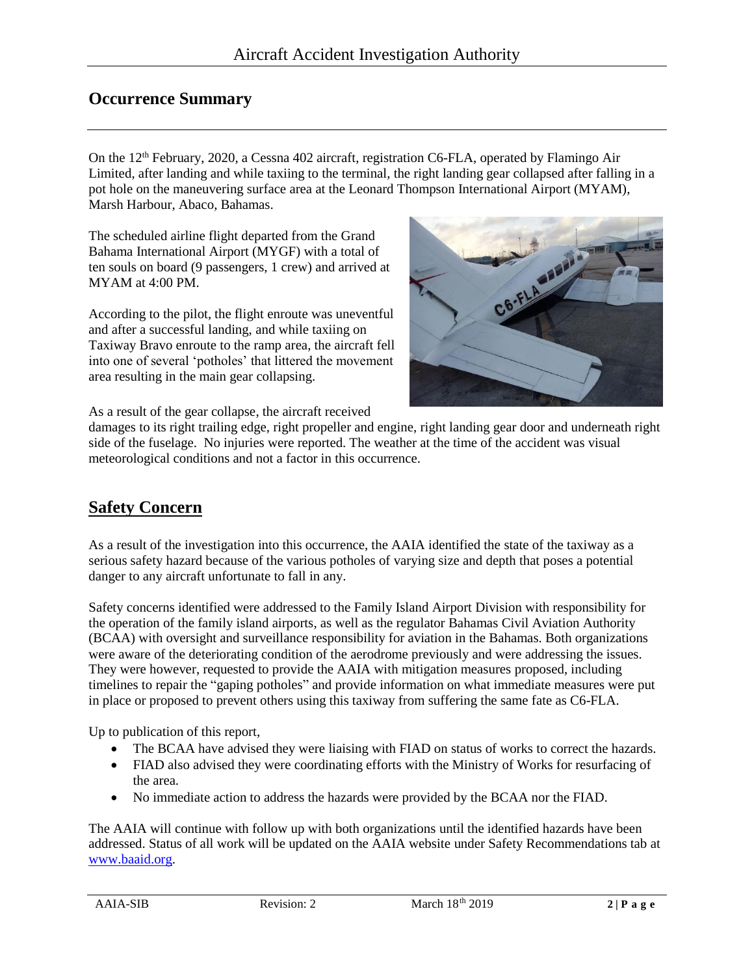### **Occurrence Summary**

On the 12<sup>th</sup> February, 2020, a Cessna 402 aircraft, registration C6-FLA, operated by Flamingo Air Limited, after landing and while taxiing to the terminal, the right landing gear collapsed after falling in a pot hole on the maneuvering surface area at the Leonard Thompson International Airport (MYAM), Marsh Harbour, Abaco, Bahamas.

The scheduled airline flight departed from the Grand Bahama International Airport (MYGF) with a total of ten souls on board (9 passengers, 1 crew) and arrived at MYAM at 4:00 PM.

According to the pilot, the flight enroute was uneventful and after a successful landing, and while taxiing on Taxiway Bravo enroute to the ramp area, the aircraft fell into one of several 'potholes' that littered the movement area resulting in the main gear collapsing.



As a result of the gear collapse, the aircraft received

damages to its right trailing edge, right propeller and engine, right landing gear door and underneath right side of the fuselage. No injuries were reported. The weather at the time of the accident was visual meteorological conditions and not a factor in this occurrence.

# **Safety Concern**

As a result of the investigation into this occurrence, the AAIA identified the state of the taxiway as a serious safety hazard because of the various potholes of varying size and depth that poses a potential danger to any aircraft unfortunate to fall in any.

Safety concerns identified were addressed to the Family Island Airport Division with responsibility for the operation of the family island airports, as well as the regulator Bahamas Civil Aviation Authority (BCAA) with oversight and surveillance responsibility for aviation in the Bahamas. Both organizations were aware of the deteriorating condition of the aerodrome previously and were addressing the issues. They were however, requested to provide the AAIA with mitigation measures proposed, including timelines to repair the "gaping potholes" and provide information on what immediate measures were put in place or proposed to prevent others using this taxiway from suffering the same fate as C6-FLA.

Up to publication of this report,

- The BCAA have advised they were liaising with FIAD on status of works to correct the hazards.
- FIAD also advised they were coordinating efforts with the Ministry of Works for resurfacing of the area.
- No immediate action to address the hazards were provided by the BCAA nor the FIAD.

The AAIA will continue with follow up with both organizations until the identified hazards have been addressed. Status of all work will be updated on the AAIA website under Safety Recommendations tab at [www.baaid.org.](http://www.baaid.org/)